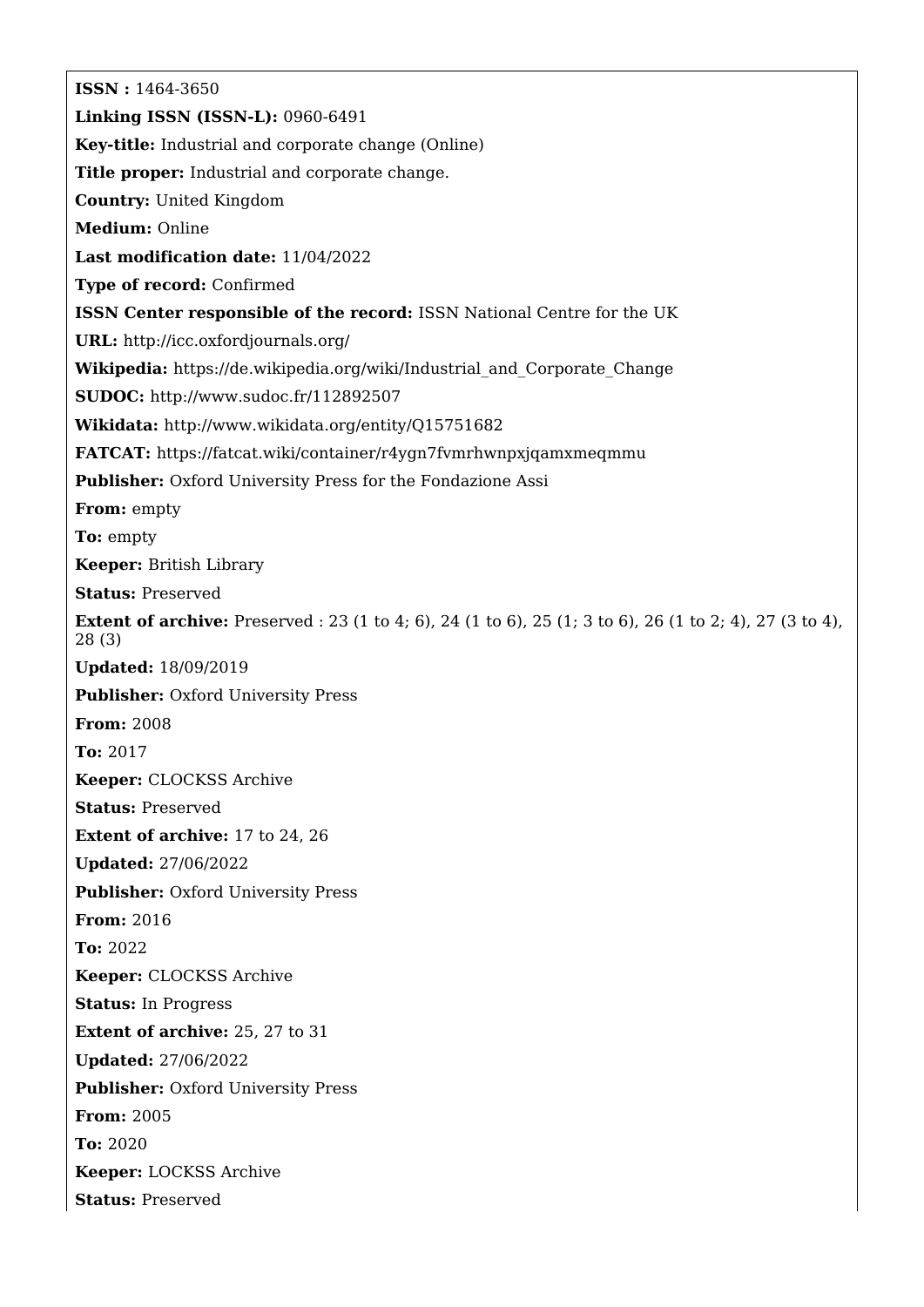**ISSN :** 1464-3650 **Linking ISSN (ISSN-L):** 0960-6491 **Key-title:** Industrial and corporate change (Online) **Title proper:** Industrial and corporate change. **Country:** United Kingdom **Medium:** Online **Last modification date:** 11/04/2022 **Type of record:** Confirmed **ISSN Center responsible of the record:** ISSN National Centre for the UK **URL:** <http://icc.oxfordjournals.org/> **Wikipedia:** [https://de.wikipedia.org/wiki/Industrial\\_and\\_Corporate\\_Change](https://de.wikipedia.org/wiki/Industrial_and_Corporate_Change) **SUDOC:** <http://www.sudoc.fr/112892507> **Wikidata:** <http://www.wikidata.org/entity/Q15751682> **FATCAT:** <https://fatcat.wiki/container/r4ygn7fvmrhwnpxjqamxmeqmmu> Publisher: Oxford University Press for the Fondazione Assi **From:** empty **To:** empty **Keeper:** British Library **Status:** Preserved **Extent of archive:** Preserved : 23 (1 to 4; 6), 24 (1 to 6), 25 (1; 3 to 6), 26 (1 to 2; 4), 27 (3 to 4), 28 (3) **Updated:** 18/09/2019 **Publisher: Oxford University Press From:** 2008 **To:** 2017 **Keeper:** CLOCKSS Archive **Status:** Preserved **Extent of archive:** 17 to 24, 26 **Updated:** 27/06/2022 **Publisher:** Oxford University Press **From:** 2016 **To:** 2022 **Keeper:** CLOCKSS Archive **Status:** In Progress **Extent of archive:** 25, 27 to 31 **Updated:** 27/06/2022 **Publisher: Oxford University Press From:** 2005 **To:** 2020 **Keeper:** LOCKSS Archive **Status:** Preserved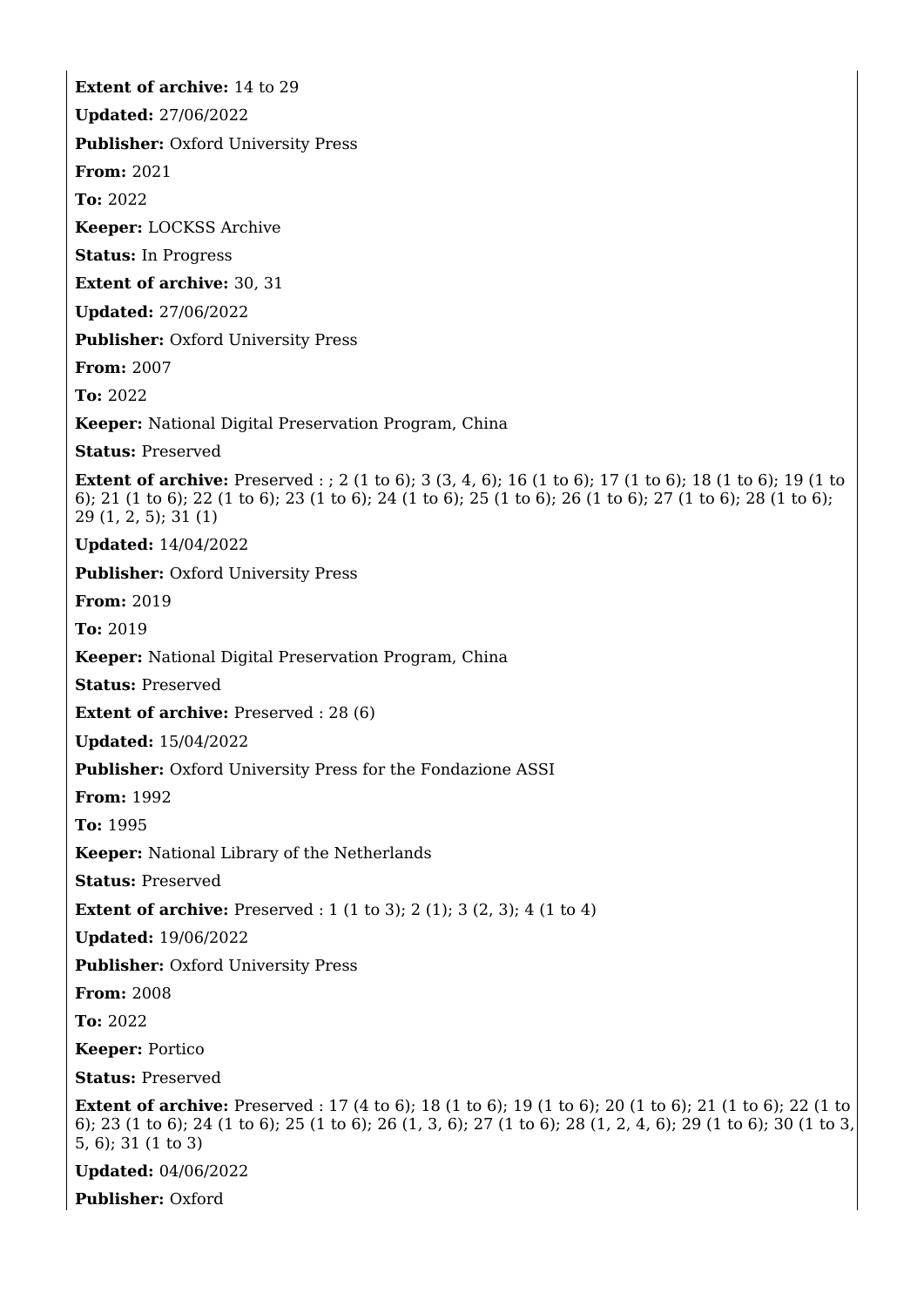**Extent of archive:** 14 to 29 **Updated:** 27/06/2022 **Publisher:** Oxford University Press **From:** 2021 **To:** 2022 **Keeper:** LOCKSS Archive **Status:** In Progress **Extent of archive:** 30, 31 **Updated:** 27/06/2022 **Publisher:** Oxford University Press **From:** 2007 **To:** 2022 **Keeper:** National Digital Preservation Program, China **Status:** Preserved **Extent of archive:** Preserved : ; 2 (1 to 6); 3 (3, 4, 6); 16 (1 to 6); 17 (1 to 6); 18 (1 to 6); 19 (1 to 6); 21 (1 to 6); 22 (1 to 6); 23 (1 to 6); 24 (1 to 6); 25 (1 to 6); 26 (1 to 6); 27 (1 to 6); 28 (1 to 6); 29 (1, 2, 5); 31 (1) **Updated:** 14/04/2022 **Publisher: Oxford University Press From:** 2019 **To:** 2019 **Keeper:** National Digital Preservation Program, China **Status:** Preserved **Extent of archive:** Preserved : 28 (6) **Updated:** 15/04/2022 **Publisher:** Oxford University Press for the Fondazione ASSI **From:** 1992 **To:** 1995 **Keeper:** National Library of the Netherlands **Status:** Preserved **Extent of archive:** Preserved : 1 (1 to 3); 2 (1); 3 (2, 3); 4 (1 to 4) **Updated:** 19/06/2022 **Publisher: Oxford University Press From:** 2008 **To:** 2022 **Keeper:** Portico **Status:** Preserved **Extent of archive:** Preserved : 17 (4 to 6); 18 (1 to 6); 19 (1 to 6); 20 (1 to 6); 21 (1 to 6); 22 (1 to 6); 23 (1 to 6); 24 (1 to 6); 25 (1 to 6); 26 (1, 3, 6); 27 (1 to 6); 28 (1, 2, 4, 6); 29 (1 to 6); 30 (1 to 3, 5, 6); 31 (1 to 3) **Updated:** 04/06/2022

**Publisher:** Oxford